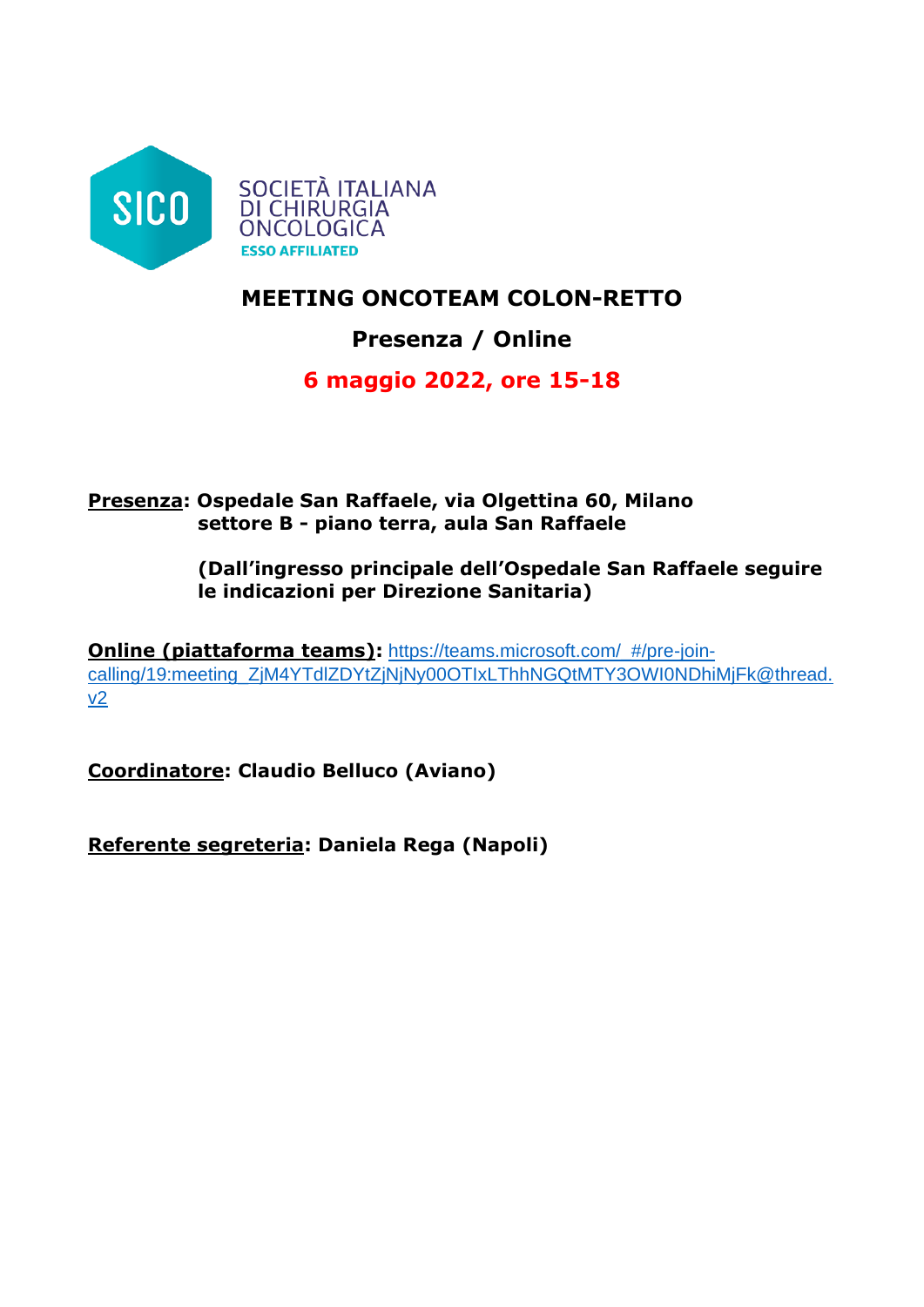

# **MEETING ONCOTEAM COLON-RETTO**

# **Presenza / Online**

# **6 maggio 2022, ore 15-18**

## **Presenza: Ospedale San Raffaele, via Olgettina 60, Milano settore B - piano terra, aula San Raffaele**

**(Dall'ingresso principale dell'Ospedale San Raffaele seguire le indicazioni per Direzione Sanitaria)**

**Online (piattaforma teams):** [https://teams.microsoft.com/\\_#/pre-join](https://teams.microsoft.com/_#/pre-join-calling/19:meeting_ZjM4YTdlZDYtZjNjNy00OTIxLThhNGQtMTY3OWI0NDhiMjFk@thread.v2)[calling/19:meeting\\_ZjM4YTdlZDYtZjNjNy00OTIxLThhNGQtMTY3OWI0NDhiMjFk@thread.](https://teams.microsoft.com/_#/pre-join-calling/19:meeting_ZjM4YTdlZDYtZjNjNy00OTIxLThhNGQtMTY3OWI0NDhiMjFk@thread.v2) [v2](https://teams.microsoft.com/_#/pre-join-calling/19:meeting_ZjM4YTdlZDYtZjNjNy00OTIxLThhNGQtMTY3OWI0NDhiMjFk@thread.v2)

**Coordinatore: Claudio Belluco (Aviano)**

**Referente segreteria: Daniela Rega (Napoli)**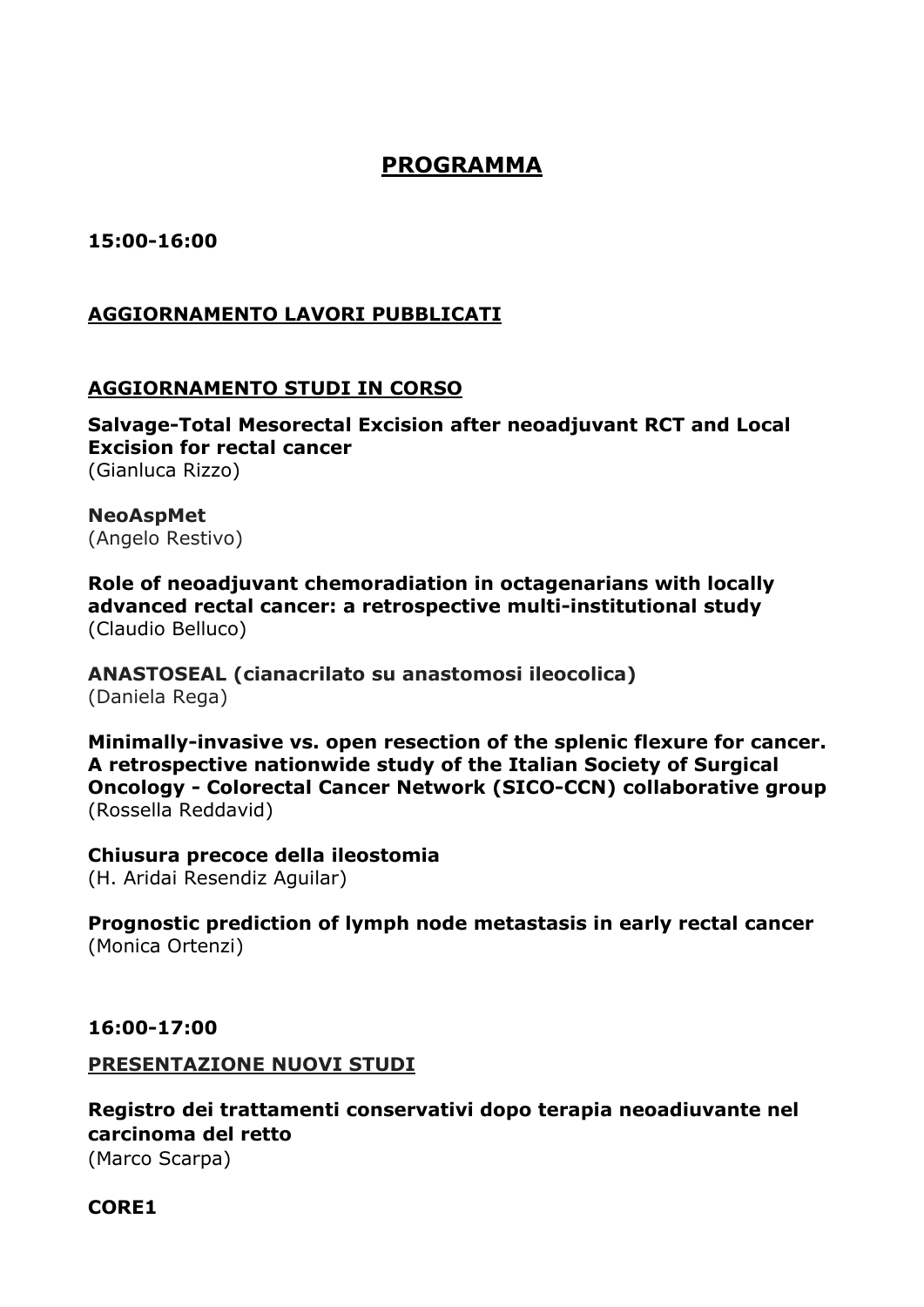# **PROGRAMMA**

**15:00-16:00**

## **AGGIORNAMENTO LAVORI PUBBLICATI**

## **AGGIORNAMENTO STUDI IN CORSO**

**Salvage-Total Mesorectal Excision after neoadjuvant RCT and Local Excision for rectal cancer** (Gianluca Rizzo)

**NeoAspMet** (Angelo Restivo)

**Role of neoadjuvant chemoradiation in octagenarians with locally advanced rectal cancer: a retrospective multi-institutional study**  (Claudio Belluco)

**ANASTOSEAL (cianacrilato su anastomosi ileocolica)** (Daniela Rega)

**Minimally-invasive vs. open resection of the splenic flexure for cancer. A retrospective nationwide study of the Italian Society of Surgical Oncology - Colorectal Cancer Network (SICO-CCN) collaborative group** (Rossella Reddavid)

**Chiusura precoce della ileostomia** (H. Aridai Resendiz Aguilar)

**Prognostic prediction of lymph node metastasis in early rectal cancer** (Monica Ortenzi)

#### **16:00-17:00**

#### **PRESENTAZIONE NUOVI STUDI**

**Registro dei trattamenti conservativi dopo terapia neoadiuvante nel carcinoma del retto**  (Marco Scarpa)

#### **CORE1**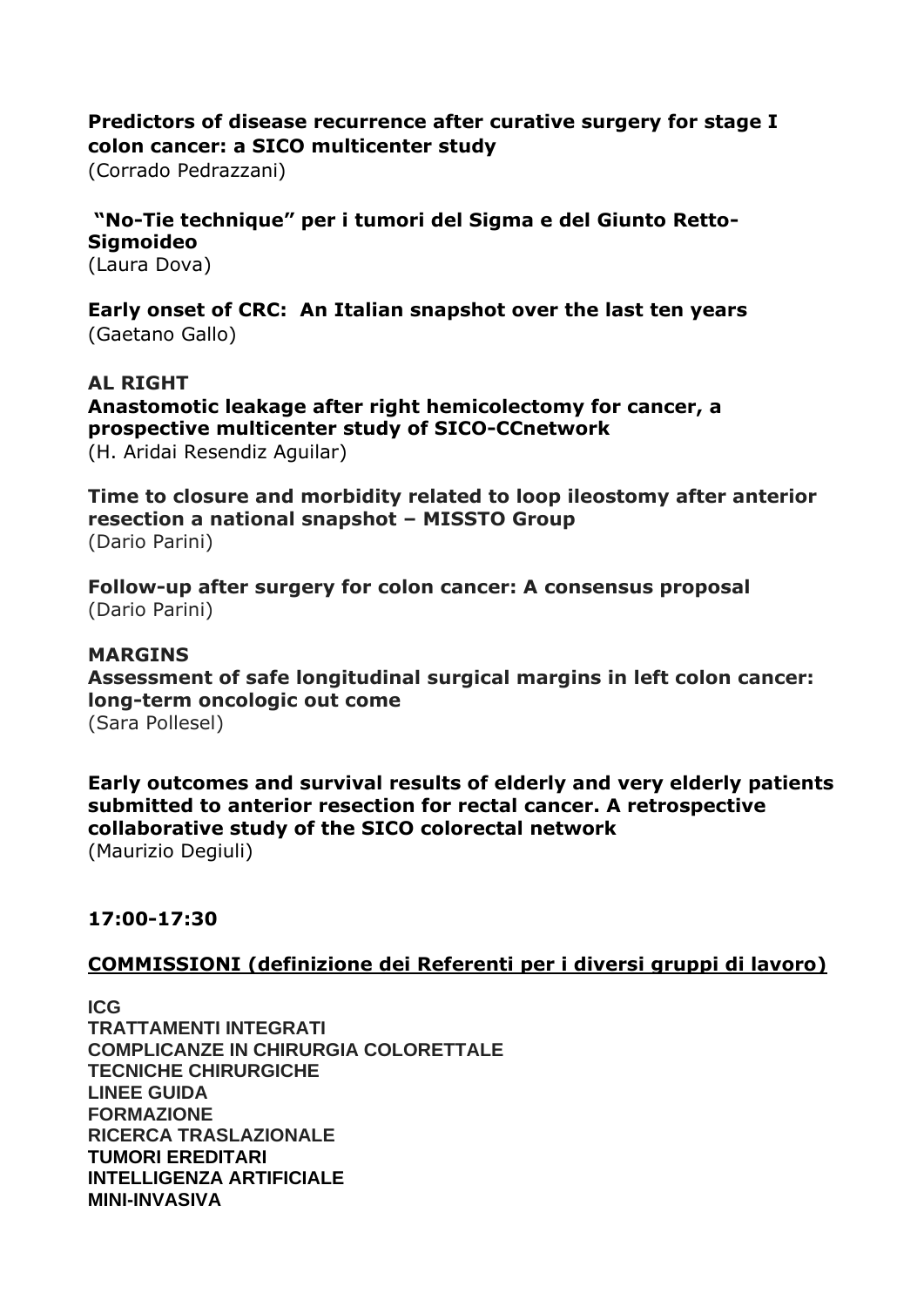### **Predictors of disease recurrence after curative surgery for stage I colon cancer: a SICO multicenter study**

(Corrado Pedrazzani)

# **"No-Tie technique" per i tumori del Sigma e del Giunto Retto-Sigmoideo**

(Laura Dova)

**Early onset of CRC: An Italian snapshot over the last ten years** (Gaetano Gallo)

### **AL RIGHT**

**Anastomotic leakage after right hemicolectomy for cancer, a prospective multicenter study of SICO-CCnetwork**  (H. Aridai Resendiz Aguilar)

**Time to closure and morbidity related to loop ileostomy after anterior resection a national snapshot – MISSTO Group** (Dario Parini)

**Follow-up after surgery for colon cancer: A consensus proposal** (Dario Parini)

#### **MARGINS**

**Assessment of safe longitudinal surgical margins in left colon cancer: long-term oncologic out come** (Sara Pollesel)

**Early outcomes and survival results of elderly and very elderly patients submitted to anterior resection for rectal cancer. A retrospective collaborative study of the SICO colorectal network** (Maurizio Degiuli)

#### **17:00-17:30**

#### **COMMISSIONI (definizione dei Referenti per i diversi gruppi di lavoro)**

**ICG TRATTAMENTI INTEGRATI COMPLICANZE IN CHIRURGIA COLORETTALE TECNICHE CHIRURGICHE LINEE GUIDA FORMAZIONE RICERCA TRASLAZIONALE TUMORI EREDITARI INTELLIGENZA ARTIFICIALE MINI-INVASIVA**